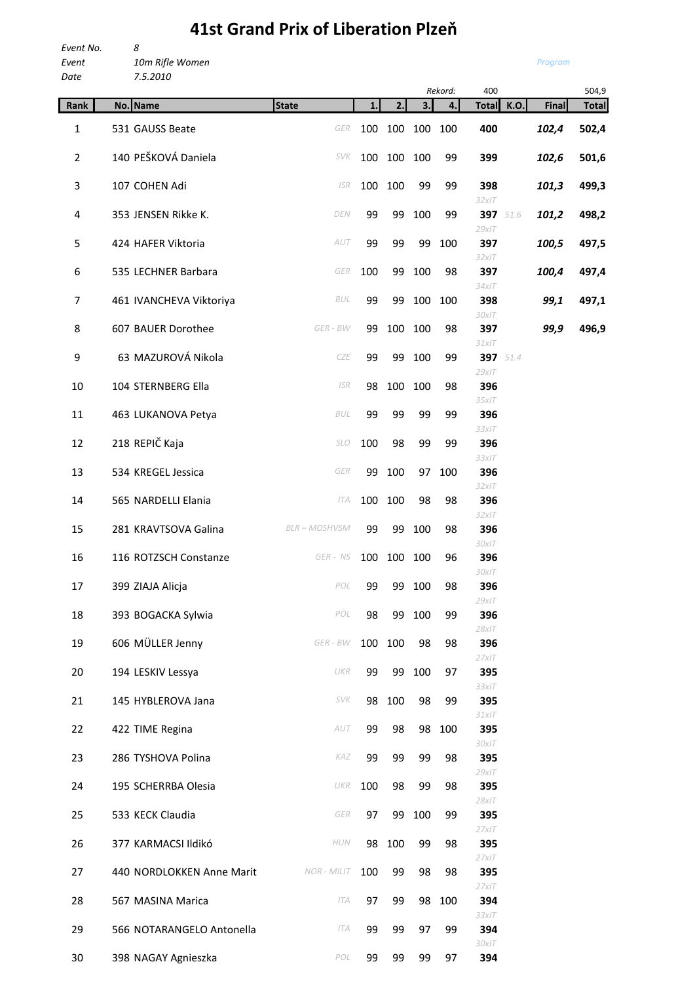## **41st Grand Prix of Liberation Plzeň**

| Event No.<br>Event<br>Date | 8<br>10m Rifle Women<br>7.5.2010 |                    |     |     |     |         |                 |          | Program      |       |
|----------------------------|----------------------------------|--------------------|-----|-----|-----|---------|-----------------|----------|--------------|-------|
|                            |                                  |                    |     |     |     | Rekord: | 400             |          |              | 504,9 |
| Rank                       | No. Name                         | <b>State</b>       | 1.  | 2.  | 3.  | 4.      | <b>Total</b>    | K.O.     | <b>Final</b> | Total |
| 1                          | 531 GAUSS Beate                  | <b>GER</b>         | 100 | 100 | 100 | 100     | 400             |          | 102,4        | 502,4 |
| $\overline{2}$             | 140 PEŠKOVÁ Daniela              | <b>SVK</b>         | 100 | 100 | 100 | 99      | 399             |          | 102,6        | 501,6 |
| 3                          | 107 COHEN Adi                    | <b>ISR</b>         | 100 | 100 | 99  | 99      | 398<br>32x/T    |          | 101,3        | 499,3 |
| 4                          | 353 JENSEN Rikke K.              | DEN                | 99  | 99  | 100 | 99      | $29x$ IT        | 397 51.6 | 101,2        | 498,2 |
| 5                          | 424 HAFER Viktoria               | AUT                | 99  | 99  | 99  | 100     | 397<br>32x/T    |          | 100,5        | 497,5 |
| 6                          | 535 LECHNER Barbara              | GER                | 100 | 99  | 100 | 98      | 397<br>$34x$ IT |          | 100,4        | 497,4 |
| 7                          | 461 IVANCHEVA Viktoriya          | BUL                | 99  | 99  | 100 | 100     | 398<br>$30x$ IT |          | 99,1         | 497,1 |
| 8                          | 607 BAUER Dorothee               | GER - BW           | 99  | 100 | 100 | 98      | 397             |          | 99,9         | 496,9 |
| 9                          | 63 MAZUROVÁ Nikola               | CZE                | 99  | 99  | 100 | 99      | 31x/T           | 397 51.4 |              |       |
| 10                         | 104 STERNBERG Ella               | <b>ISR</b>         | 98  | 100 | 100 | 98      | $29x$ IT<br>396 |          |              |       |
| 11                         | 463 LUKANOVA Petya               | BUL                | 99  | 99  | 99  | 99      | 35x/T<br>396    |          |              |       |
| 12                         | 218 REPIČ Kaja                   | <b>SLO</b>         | 100 | 98  | 99  | 99      | 33x/T<br>396    |          |              |       |
| 13                         | 534 KREGEL Jessica               | GER                | 99  | 100 | 97  | 100     | 33x/T<br>396    |          |              |       |
| 14                         | 565 NARDELLI Elania              | <b>ITA</b>         | 100 | 100 | 98  | 98      | 32x/T<br>396    |          |              |       |
| 15                         | 281 KRAVTSOVA Galina             | <b>BLR-MOSHVSM</b> | 99  | 99  | 100 | 98      | 32x/T<br>396    |          |              |       |
| 16                         | 116 ROTZSCH Constanze            | GER - NS           | 100 | 100 | 100 | 96      | 30x/T<br>396    |          |              |       |
| 17                         | 399 ZIAJA Alicja                 | POL                | 99  | 99  | 100 | 98      | 30xIT<br>396    |          |              |       |
| 18                         | 393 BOGACKA Sylwia               | POL                | 98  | 99  | 100 | 99      | $29x$ IT<br>396 |          |              |       |
| 19                         | 606 MÜLLER Jenny                 | GER - BW           | 100 | 100 | 98  | 98      | 28x/T<br>396    |          |              |       |
| 20                         | 194 LESKIV Lessya                | UKR                | 99  | 99  | 100 | 97      | 27x/T<br>395    |          |              |       |
| 21                         | 145 HYBLEROVA Jana               | <b>SVK</b>         | 98  | 100 | 98  | 99      | 33x/T<br>395    |          |              |       |
| 22                         | 422 TIME Regina                  | AUT                | 99  | 98  | 98  | 100     | 31x/T<br>395    |          |              |       |
| 23                         | 286 TYSHOVA Polina               | KAZ                | 99  | 99  | 99  | 98      | 30x/T<br>395    |          |              |       |
| 24                         | 195 SCHERRBA Olesia              | UKR                | 100 | 98  | 99  | 98      | 29x/T<br>395    |          |              |       |
| 25                         | 533 KECK Claudia                 | GER                | 97  | 99  | 100 | 99      | 28x/T<br>395    |          |              |       |
| 26                         | 377 KARMACSI Ildikó              | HUN                | 98  | 100 | 99  | 98      | $27x$ IT<br>395 |          |              |       |
| 27                         | 440 NORDLOKKEN Anne Marit        | <b>NOR - MILIT</b> | 100 | 99  | 98  | 98      | 27x/T<br>395    |          |              |       |
| 28                         | 567 MASINA Marica                | <b>ITA</b>         | 97  | 99  | 98  | 100     | 27x/T<br>394    |          |              |       |

*33xIT* 29 566 NOTARANGELO Antonella *ITA* 99 99 97 99 **394** *30xIT* 30 398 NAGAY Agnieszka *POL* 99 99 99 97 **394**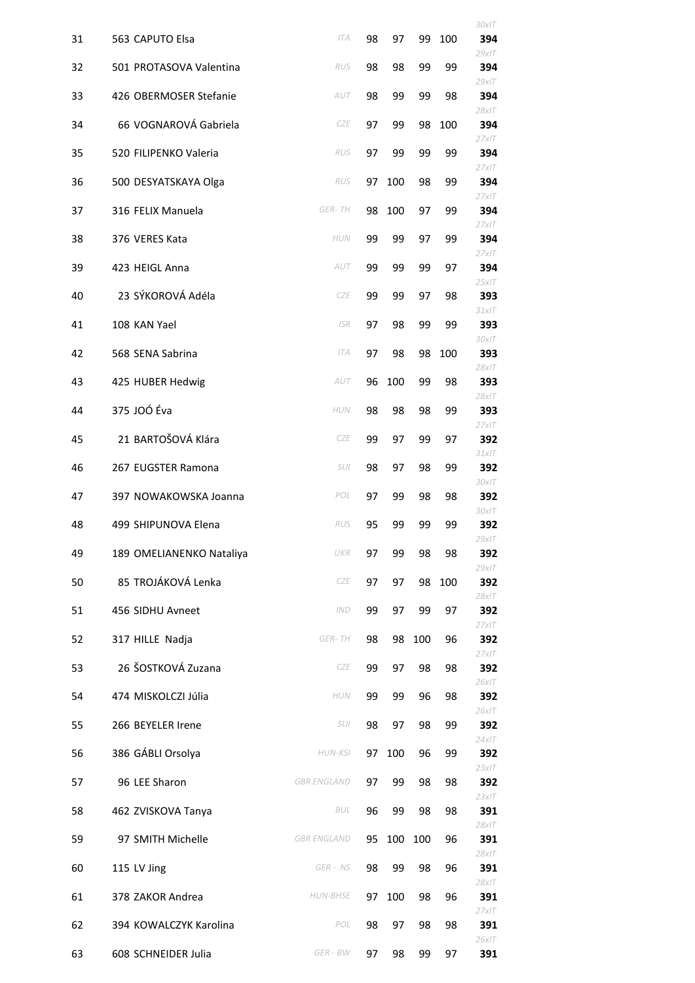|    |                          |                    |    |     |     |     | 30xIT                    |
|----|--------------------------|--------------------|----|-----|-----|-----|--------------------------|
| 31 | 563 CAPUTO Elsa          | <b>ITA</b>         | 98 | 97  | 99  | 100 | 394<br>$29x$ IT          |
| 32 | 501 PROTASOVA Valentina  | RUS                | 98 | 98  | 99  | 99  | 394<br>$29x$ IT          |
| 33 | 426 OBERMOSER Stefanie   | AUT                | 98 | 99  | 99  | 98  | 394<br>$28x$ IT          |
| 34 | 66 VOGNAROVÁ Gabriela    | <b>CZE</b>         | 97 | 99  | 98  | 100 | 394                      |
| 35 | 520 FILIPENKO Valeria    | RUS                | 97 | 99  | 99  | 99  | $27x$ IT<br>394          |
| 36 | 500 DESYATSKAYA Olga     | RUS                | 97 | 100 | 98  | 99  | $27x$ IT<br>394          |
| 37 | 316 FELIX Manuela        | <b>GER-TH</b>      | 98 | 100 | 97  | 99  | 27x/T<br>394             |
| 38 | 376 VERES Kata           | <b>HUN</b>         | 99 | 99  | 97  | 99  | 27x/T<br>394             |
| 39 | 423 HEIGL Anna           | AUT                | 99 | 99  | 99  | 97  | $27x$ IT<br>394          |
| 40 | 23 SÝKOROVÁ Adéla        | <b>CZE</b>         | 99 | 99  | 97  | 98  | 25x/T<br>393             |
| 41 | 108 KAN Yael             | <b>ISR</b>         | 97 | 98  | 99  | 99  | 31x/T<br>393             |
| 42 | 568 SENA Sabrina         | <b>ITA</b>         | 97 | 98  | 98  | 100 | 30xIT<br>393<br>$28x$ IT |
| 43 | 425 HUBER Hedwig         | AUT                | 96 | 100 | 99  | 98  | 393<br>$28x$ IT          |
| 44 | 375 JOÓ Éva              | <b>HUN</b>         | 98 | 98  | 98  | 99  | 393                      |
| 45 | 21 BARTOŠOVÁ Klára       | <b>CZE</b>         | 99 | 97  | 99  | 97  | 27x/T<br>392<br>31x/T    |
| 46 | 267 EUGSTER Ramona       | SUI                | 98 | 97  | 98  | 99  | 392<br>30x/T             |
| 47 | 397 NOWAKOWSKA Joanna    | POL                | 97 | 99  | 98  | 98  | 392<br>30xIT             |
| 48 | 499 SHIPUNOVA Elena      | RUS                | 95 | 99  | 99  | 99  | 392<br>29x/T             |
| 49 | 189 OMELIANENKO Nataliya | UKR                | 97 | 99  | 98  | 98  | 392<br>29x/T             |
| 50 | 85 TROJÁKOVÁ Lenka       | CZE                | 97 | 97  | 98  | 100 | 392<br>28x/T             |
| 51 | 456 SIDHU Avneet         | <b>IND</b>         | 99 | 97  | 99  | 97  | 392<br>27x/T             |
| 52 | 317 HILLE Nadja          | GER-TH             | 98 | 98  | 100 | 96  | 392<br>27x/T             |
| 53 | 26 ŠOSTKOVÁ Zuzana       | CZE                | 99 | 97  | 98  | 98  | 392<br>26x/T             |
| 54 | 474 MISKOLCZI Júlia      | HUN                | 99 | 99  | 96  | 98  | 392<br>26x/T             |
| 55 | 266 BEYELER Irene        | SUI                | 98 | 97  | 98  | 99  | 392<br>24x/T             |
| 56 | 386 GÁBLI Orsolya        | HUN-KSI            | 97 | 100 | 96  | 99  | 392<br>23x/T             |
| 57 | 96 LEE Sharon            | <b>GBR ENGLAND</b> | 97 | 99  | 98  | 98  | 392<br>23x/T             |
| 58 | 462 ZVISKOVA Tanya       | BUL                | 96 | 99  | 98  | 98  | 391<br>28x/T             |
| 59 | 97 SMITH Michelle        | <b>GBR ENGLAND</b> | 95 | 100 | 100 | 96  | 391<br>$28x$ IT          |
| 60 | 115 LV Jing              | GER - NS           | 98 | 99  | 98  | 96  | 391<br>$28x$ IT          |
| 61 | 378 ZAKOR Andrea         | <b>HUN-BHSE</b>    | 97 | 100 | 98  | 96  | 391<br>27x/T             |
| 62 | 394 KOWALCZYK Karolina   | POL                | 98 | 97  | 98  | 98  | 391<br>26x/T             |
| 63 | 608 SCHNEIDER Julia      | $GER$ - $BW$       | 97 | 98  | 99  | 97  | 391                      |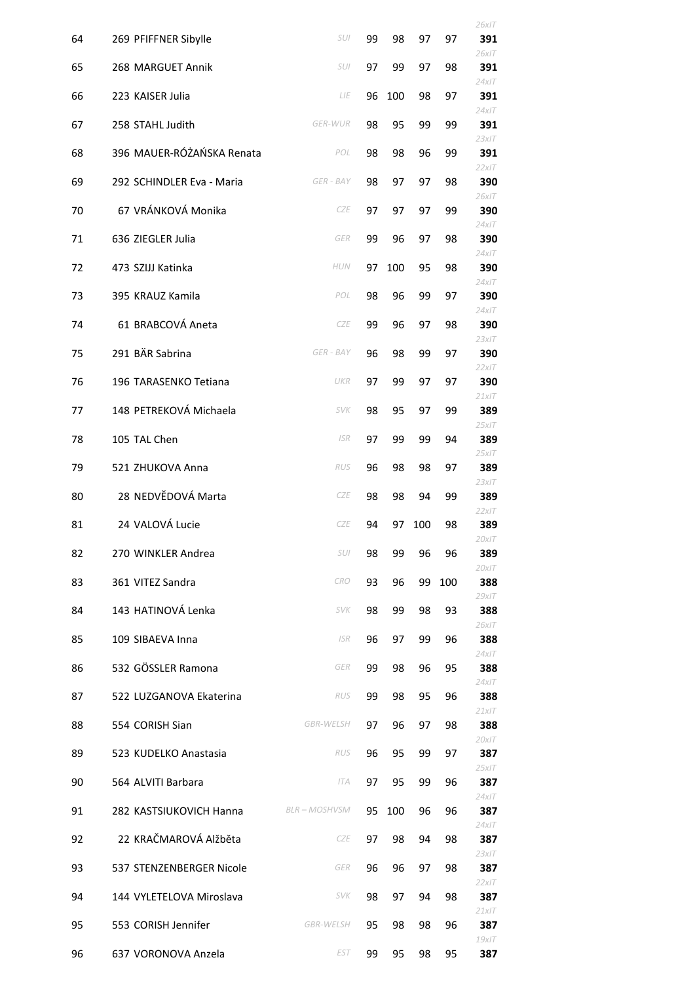|    |                           |                    |    |     |     |     | 26x/T           |
|----|---------------------------|--------------------|----|-----|-----|-----|-----------------|
| 64 | 269 PFIFFNER Sibylle      | SUI                | 99 | 98  | 97  | 97  | 391<br>$26x$ IT |
| 65 | 268 MARGUET Annik         | SUI                | 97 | 99  | 97  | 98  | 391<br>$24x$ IT |
| 66 | 223 KAISER Julia          | LIE                | 96 | 100 | 98  | 97  | 391<br>$24x$ IT |
| 67 | 258 STAHL Judith          | <b>GER-WUR</b>     | 98 | 95  | 99  | 99  | 391             |
| 68 | 396 MAUER-RÓŻAŃSKA Renata | POL                | 98 | 98  | 96  | 99  | 23x/T<br>391    |
| 69 | 292 SCHINDLER Eva - Maria | GER - BAY          | 98 | 97  | 97  | 98  | 22x/T<br>390    |
| 70 | 67 VRÁNKOVÁ Monika        | <b>CZE</b>         | 97 | 97  | 97  | 99  | $26x$ IT<br>390 |
| 71 | 636 ZIEGLER Julia         | GER                | 99 | 96  | 97  | 98  | 24x/T<br>390    |
| 72 | 473 SZIJJ Katinka         | HUN                | 97 | 100 | 95  | 98  | $24x$ IT<br>390 |
| 73 | 395 KRAUZ Kamila          | POL                | 98 | 96  | 99  | 97  | $24x$ IT<br>390 |
| 74 | 61 BRABCOVÁ Aneta         | <b>CZE</b>         | 99 | 96  | 97  | 98  | $24x$ IT<br>390 |
| 75 | 291 BÄR Sabrina           | GER - BAY          | 96 | 98  | 99  | 97  | 23x/T<br>390    |
| 76 | 196 TARASENKO Tetiana     | UKR                | 97 | 99  | 97  | 97  | 22x/T<br>390    |
| 77 | 148 PETREKOVÁ Michaela    | <b>SVK</b>         | 98 | 95  | 97  | 99  | $21x$ IT<br>389 |
| 78 | 105 TAL Chen              | <b>ISR</b>         | 97 | 99  | 99  | 94  | 25x/T<br>389    |
| 79 | 521 ZHUKOVA Anna          | RUS                | 96 | 98  | 98  | 97  | 25x/T<br>389    |
| 80 | 28 NEDVĚDOVÁ Marta        | <b>CZE</b>         | 98 | 98  | 94  | 99  | 23x/T<br>389    |
| 81 | 24 VALOVÁ Lucie           | CZE                | 94 | 97  | 100 | 98  | 22x/T<br>389    |
| 82 | 270 WINKLER Andrea        | SUI                | 98 | 99  | 96  | 96  | 20x/T<br>389    |
| 83 | 361 VITEZ Sandra          | <b>CRO</b>         | 93 | 96  | 99  | 100 | 20x/T<br>388    |
| 84 | 143 HATINOVÁ Lenka        | <b>SVK</b>         | 98 | 99  | 98  | 93  | $29x$ IT<br>388 |
| 85 | 109 SIBAEVA Inna          | <b>ISR</b>         | 96 | 97  | 99  | 96  | $26x$ IT<br>388 |
| 86 | 532 GÖSSLER Ramona        | GER                | 99 | 98  | 96  | 95  | $24x$ IT<br>388 |
| 87 | 522 LUZGANOVA Ekaterina   | RUS                | 99 | 98  | 95  | 96  | $24x$ IT<br>388 |
| 88 | 554 CORISH Sian           | <b>GBR-WELSH</b>   | 97 | 96  | 97  | 98  | 21x/T<br>388    |
| 89 | 523 KUDELKO Anastasia     | RUS                | 96 | 95  | 99  | 97  | 20x/T<br>387    |
| 90 | 564 ALVITI Barbara        | <b>ITA</b>         | 97 | 95  | 99  | 96  | $25x$ IT<br>387 |
| 91 | 282 KASTSIUKOVICH Hanna   | <b>BLR-MOSHVSM</b> | 95 | 100 | 96  | 96  | $24x$ IT<br>387 |
| 92 | 22 KRAČMAROVÁ Alžběta     | CZE                | 97 | 98  | 94  | 98  | $24x$ IT<br>387 |
| 93 | 537 STENZENBERGER Nicole  | GER                | 96 | 96  | 97  | 98  | 23x/T<br>387    |
| 94 | 144 VYLETELOVA Miroslava  | SVK                | 98 | 97  | 94  | 98  | 22x/T<br>387    |
| 95 | 553 CORISH Jennifer       | <b>GBR-WELSH</b>   | 95 | 98  | 98  | 96  | 21x/T<br>387    |
| 96 | 637 VORONOVA Anzela       | <b>EST</b>         | 99 | 95  | 98  | 95  | $19x$ IT<br>387 |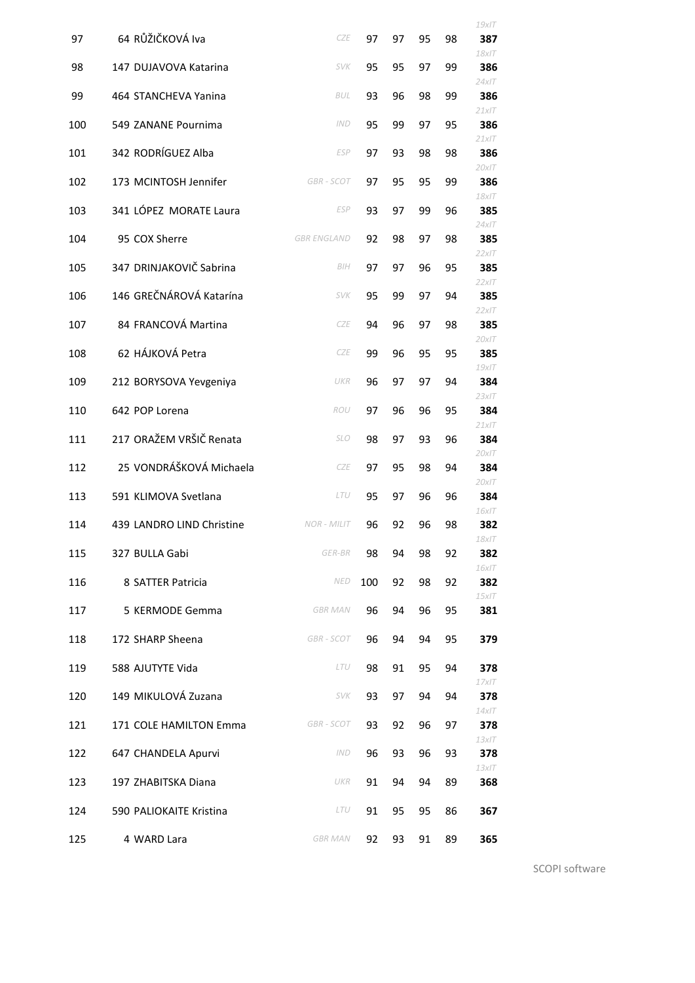|     |                           |                    |     |    |    |    | $19x$ IT        |
|-----|---------------------------|--------------------|-----|----|----|----|-----------------|
| 97  | 64 RŮŽIČKOVÁ Iva          | <b>CZE</b>         | 97  | 97 | 95 | 98 | 387<br>$18x$ IT |
| 98  | 147 DUJAVOVA Katarina     | <b>SVK</b>         | 95  | 95 | 97 | 99 | 386             |
| 99  | 464 STANCHEVA Yanina      | <b>BUL</b>         | 93  | 96 | 98 | 99 | $24x$ IT<br>386 |
| 100 | 549 ZANANE Pournima       | <b>IND</b>         | 95  | 99 | 97 | 95 | 21x/T<br>386    |
| 101 | 342 RODRÍGUEZ Alba        | <b>ESP</b>         | 97  | 93 | 98 | 98 | 21x/T<br>386    |
| 102 | 173 MCINTOSH Jennifer     | <b>GBR-SCOT</b>    | 97  | 95 | 95 | 99 | $20x$ IT<br>386 |
| 103 | 341 LÓPEZ MORATE Laura    | ESP                | 93  | 97 | 99 | 96 | $18x$ IT<br>385 |
| 104 | 95 COX Sherre             | <b>GBR ENGLAND</b> | 92  | 98 | 97 | 98 | $24x$ IT<br>385 |
| 105 | 347 DRINJAKOVIČ Sabrina   | BIH                | 97  | 97 | 96 | 95 | 22x/T<br>385    |
| 106 | 146 GREČNÁROVÁ Katarína   | <b>SVK</b>         | 95  | 99 | 97 | 94 | 22x/T<br>385    |
| 107 | 84 FRANCOVÁ Martina       | <b>CZE</b>         | 94  | 96 | 97 | 98 | 22x/T<br>385    |
| 108 | 62 HÁJKOVÁ Petra          | <b>CZE</b>         | 99  | 96 | 95 | 95 | 20x/T<br>385    |
| 109 | 212 BORYSOVA Yevgeniya    | UKR                | 96  | 97 | 97 | 94 | $19x$ IT<br>384 |
| 110 | 642 POP Lorena            | ROU                | 97  | 96 | 96 | 95 | 23x/T<br>384    |
| 111 | 217 ORAŽEM VRŠIČ Renata   | <b>SLO</b>         | 98  | 97 | 93 | 96 | 21x/T<br>384    |
|     | 25 VONDRÁŠKOVÁ Michaela   |                    |     |    |    |    | $20x$ IT        |
| 112 |                           | <b>CZE</b>         | 97  | 95 | 98 | 94 | 384<br>20x/T    |
| 113 | 591 KLIMOVA Svetlana      | LTU                | 95  | 97 | 96 | 96 | 384<br>16x/T    |
| 114 | 439 LANDRO LIND Christine | <b>NOR - MILIT</b> | 96  | 92 | 96 | 98 | 382<br>$18$ xIT |
| 115 | 327 BULLA Gabi            | GER-BR             | 98  | 94 | 98 | 92 | 382<br>$16x$ IT |
| 116 | 8 SATTER Patricia         | <b>NED</b>         | 100 | 92 | 98 | 92 | 382             |
| 117 | 5 KERMODE Gemma           | <b>GBR MAN</b>     | 96  | 94 | 96 | 95 | 15x/T<br>381    |
| 118 | 172 SHARP Sheena          | GBR - SCOT         | 96  | 94 | 94 | 95 | 379             |
| 119 | 588 AJUTYTE Vida          | LTU                | 98  | 91 | 95 | 94 | 378             |
| 120 | 149 MIKULOVÁ Zuzana       | SVK                | 93  | 97 | 94 | 94 | 17x/T<br>378    |
| 121 | 171 COLE HAMILTON Emma    | GBR - SCOT         | 93  | 92 | 96 | 97 | $14x$ IT<br>378 |
| 122 | 647 CHANDELA Apurvi       | <b>IND</b>         | 96  | 93 | 96 | 93 | $13x$ IT<br>378 |
| 123 | 197 ZHABITSKA Diana       | UKR                | 91  | 94 | 94 | 89 | $13x$ IT<br>368 |
| 124 | 590 PALIOKAITE Kristina   | LTU                | 91  | 95 | 95 | 86 | 367             |
| 125 | 4 WARD Lara               | <b>GBR MAN</b>     | 92  | 93 | 91 | 89 | 365             |
|     |                           |                    |     |    |    |    |                 |

SCOPI software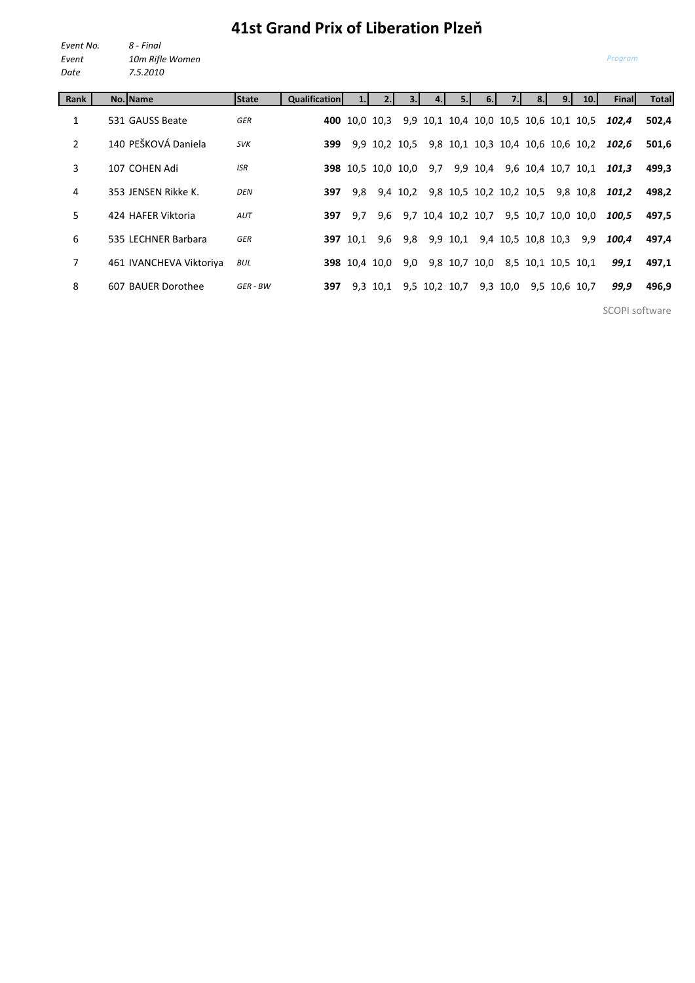## **41st Grand Prix of Liberation Plzeň**

*Event No. 8 - Final Event 10m Rifle Women Date 7.5.2010*

| Rank           | No. Name                | <b>State</b> | <b>Qualification</b> |                 |                           |          |                                        |               |          |                         |                    | 9. | 10.1                              | Final | <b>Total</b> |
|----------------|-------------------------|--------------|----------------------|-----------------|---------------------------|----------|----------------------------------------|---------------|----------|-------------------------|--------------------|----|-----------------------------------|-------|--------------|
| 1              | 531 GAUSS Beate         | GER          |                      |                 | <b>400</b> 10.0 10.3      |          | 9,9 10,1 10,4 10,0 10,5 10,6 10,1 10,5 |               |          |                         |                    |    |                                   | 102.4 | 502,4        |
| $\overline{2}$ | 140 PEŠKOVÁ Daniela     | <b>SVK</b>   | 399                  |                 | 9,9 10,2 10,5             |          |                                        |               |          |                         |                    |    | 9,8 10,1 10,3 10,4 10,6 10,6 10,2 | 102.6 | 501,6        |
| 3              | 107 COHEN Adi           | <b>ISR</b>   |                      |                 | <b>398</b> 10,5 10,0 10,0 |          | 9,7                                    |               | 9,9 10,4 |                         |                    |    | 9,6 10,4 10,7 10,1                | 101.3 | 499,3        |
| 4              | 353 JENSEN Rikke K.     | <b>DEN</b>   | 397                  | 9,8             |                           | 9,4 10,2 |                                        |               |          | 9,8 10,5 10,2 10,2 10,5 |                    |    | 9,8 10,8                          | 101.2 | 498.2        |
| 5.             | 424 HAFER Viktoria      | AUT          | 397                  | 9.7             | 9,6                       |          | 9,7 10,4 10,2 10,7                     |               |          |                         |                    |    | 9,5 10,7 10,0 10,0                | 100.5 | 497.5        |
| 6              | 535 LECHNER Barbara     | GER          |                      | <b>397</b> 10.1 | 9,6                       | 9,8      |                                        | 9,9 10,1      |          | 9,4 10,5 10,8 10,3      |                    |    | 9,9                               | 100.4 | 497.4        |
| $\overline{7}$ | 461 IVANCHEVA Viktoriya | BUL          |                      |                 | <b>398</b> 10.4 10.0      | 9,0      |                                        | 9,8 10,7 10,0 |          |                         | 8,5 10,1 10,5 10,1 |    |                                   | 99,1  | 497,1        |
| 8              | 607 BAUER Dorothee      | GER - BW     | 397                  |                 | 9,3 10,1                  |          | 9,5 10,2 10,7                          |               |          | 9,3 10,0                |                    |    | 9,5 10,6 10,7                     | 99,9  | 496,9        |

SCOPI software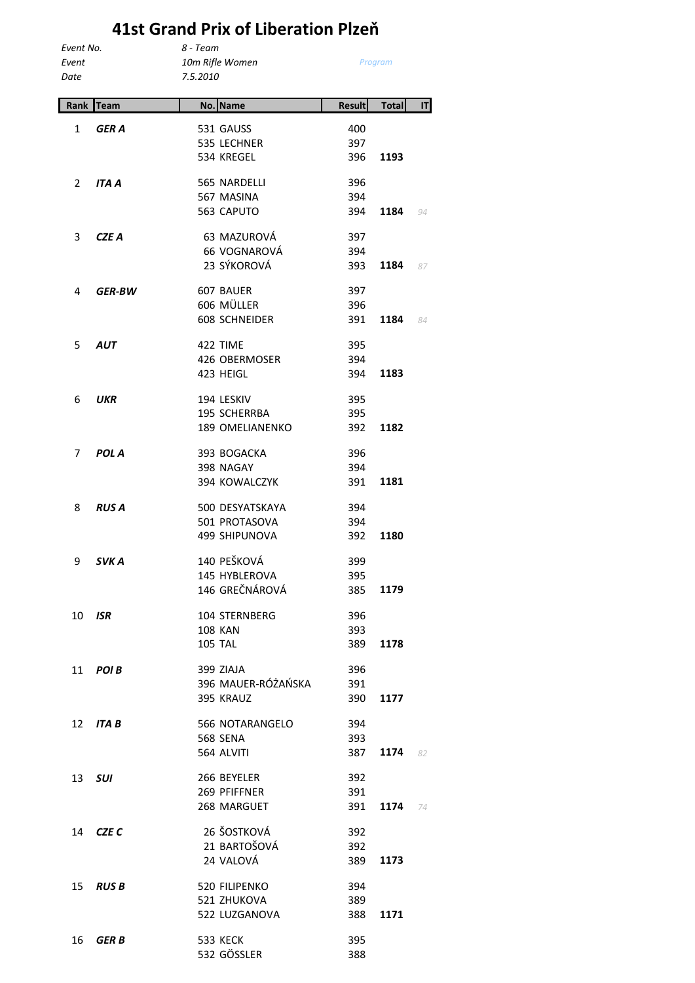## **41st Grand Prix of Liberation Plzeň**

| Event No.    |  |
|--------------|--|
| Event        |  |
| <b>PULLE</b> |  |

*Event 10m Rifle Women Date 7.5.2010*

*Event No. 8 - Team*

*Program*

| Rank | <b>Team</b>     | No. | <b>Name</b>                            | <b>Result</b> | <b>Total</b> | T  |
|------|-----------------|-----|----------------------------------------|---------------|--------------|----|
|      |                 |     |                                        |               |              |    |
| 1    | GER A           |     | 531 GAUSS                              | 400           |              |    |
|      |                 |     | 535 LECHNER                            | 397           |              |    |
|      |                 |     | 534 KREGEL                             | 396           | 1193         |    |
| 2    | ITA A           |     | 565 NARDELLI                           | 396           |              |    |
|      |                 |     | 567 MASINA                             | 394           |              |    |
|      |                 |     | 563 CAPUTO                             | 394           | 1184         | 94 |
|      |                 |     |                                        |               |              |    |
| 3    | CZE A           |     | 63 MAZUROVÁ<br>66 VOGNAROVÁ            | 397           |              |    |
|      |                 |     | 23 SÝKOROVÁ                            | 394<br>393    | 1184         | 87 |
|      |                 |     |                                        |               |              |    |
| 4    | <b>GER-BW</b>   |     | 607 BAUER                              | 397           |              |    |
|      |                 |     | 606 MÜLLER                             | 396           |              |    |
|      |                 |     | <b>608 SCHNEIDER</b>                   | 391           | 1184         | 84 |
| 5    | <b>AUT</b>      |     | 422 TIME                               | 395           |              |    |
|      |                 |     | 426 OBERMOSER                          | 394           |              |    |
|      |                 |     | 423 HEIGL                              | 394           | 1183         |    |
|      |                 |     |                                        |               |              |    |
| 6    | <b>UKR</b>      |     | 194 LESKIV                             | 395           |              |    |
|      |                 |     | 195 SCHERRBA<br><b>189 OMELIANENKO</b> | 395<br>392    | 1182         |    |
|      |                 |     |                                        |               |              |    |
| 7    | <b>POL A</b>    |     | 393 BOGACKA                            | 396           |              |    |
|      |                 |     | 398 NAGAY                              | 394           |              |    |
|      |                 |     | 394 KOWALCZYK                          | 391           | 1181         |    |
| 8    | <b>RUS A</b>    |     | 500 DESYATSKAYA                        | 394           |              |    |
|      |                 |     | 501 PROTASOVA                          | 394           |              |    |
|      |                 |     | 499 SHIPUNOVA                          | 392           | 1180         |    |
|      |                 |     | 140 PEŠKOVÁ                            |               |              |    |
| 9    | SVK A           |     | 145 HYBLEROVA                          | 399<br>395    |              |    |
|      |                 |     | 146 GREČNÁROVÁ                         | 385           | 1179         |    |
|      |                 |     |                                        |               |              |    |
| 10   | <b>ISR</b>      |     | 104 STERNBERG                          | 396           |              |    |
|      |                 |     | <b>108 KAN</b>                         | 393           |              |    |
|      |                 |     | <b>105 TAL</b>                         | 389           | 1178         |    |
| 11   | POI B           |     | 399 ZIAJA                              | 396           |              |    |
|      |                 |     | 396 MAUER-RÓŻAŃSKA                     | 391           |              |    |
|      |                 |     | 395 KRAUZ                              | 390           | 1177         |    |
| 12   | ITA B           |     | 566 NOTARANGELO                        | 394           |              |    |
|      |                 |     | <b>568 SENA</b>                        | 393           |              |    |
|      |                 |     | 564 ALVITI                             | 387           | 1174         | 82 |
|      |                 |     |                                        |               |              |    |
| 13   | SUI             |     | 266 BEYELER                            | 392           |              |    |
|      |                 |     | 269 PFIFFNER                           | 391           |              |    |
|      |                 |     | 268 MARGUET                            | 391           | 1174         | 74 |
|      | 14 <b>CZE C</b> |     | 26 ŠOSTKOVÁ                            | 392           |              |    |
|      |                 |     | 21 BARTOŠOVÁ                           | 392           |              |    |
|      |                 |     | 24 VALOVÁ                              | 389           | 1173         |    |
| 15   | <b>RUSB</b>     |     | 520 FILIPENKO                          | 394           |              |    |
|      |                 |     | 521 ZHUKOVA                            | 389           |              |    |
|      |                 |     | 522 LUZGANOVA                          | 388           | 1171         |    |
|      |                 |     |                                        |               |              |    |
| 16   | <b>GERB</b>     |     | <b>533 KECK</b><br>532 GÖSSLER         | 395<br>388    |              |    |
|      |                 |     |                                        |               |              |    |